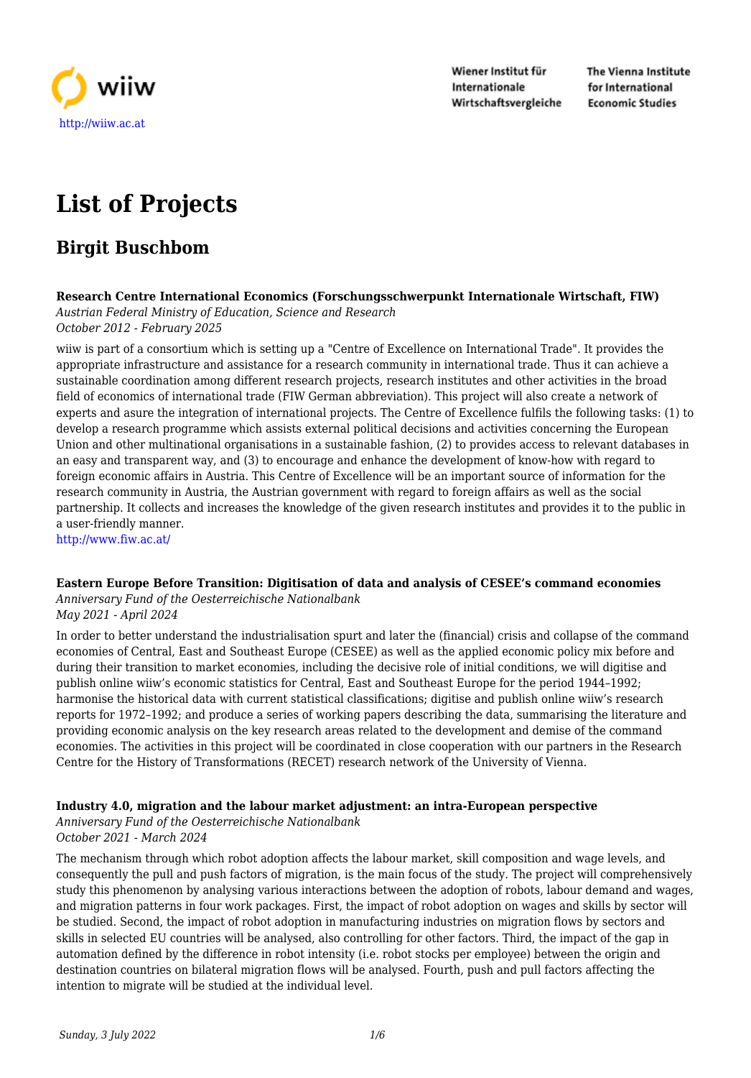

Wiener Institut für Internationale Wirtschaftsvergleiche The Vienna Institute for International **Economic Studies** 

# **List of Projects**

# **Birgit Buschbom**

#### **Research Centre International Economics (Forschungsschwerpunkt Internationale Wirtschaft, FIW)** *Austrian Federal Ministry of Education, Science and Research*

*October 2012 - February 2025*

wiiw is part of a consortium which is setting up a "Centre of Excellence on International Trade". It provides the appropriate infrastructure and assistance for a research community in international trade. Thus it can achieve a sustainable coordination among different research projects, research institutes and other activities in the broad field of economics of international trade (FIW German abbreviation). This project will also create a network of experts and asure the integration of international projects. The Centre of Excellence fulfils the following tasks: (1) to develop a research programme which assists external political decisions and activities concerning the European Union and other multinational organisations in a sustainable fashion, (2) to provides access to relevant databases in an easy and transparent way, and (3) to encourage and enhance the development of know-how with regard to foreign economic affairs in Austria. This Centre of Excellence will be an important source of information for the research community in Austria, the Austrian government with regard to foreign affairs as well as the social partnership. It collects and increases the knowledge of the given research institutes and provides it to the public in a user-friendly manner.

<http://www.fiw.ac.at/>

# **Eastern Europe Before Transition: Digitisation of data and analysis of CESEE's command economies**

*Anniversary Fund of the Oesterreichische Nationalbank May 2021 - April 2024*

In order to better understand the industrialisation spurt and later the (financial) crisis and collapse of the command economies of Central, East and Southeast Europe (CESEE) as well as the applied economic policy mix before and during their transition to market economies, including the decisive role of initial conditions, we will digitise and publish online wiiw's economic statistics for Central, East and Southeast Europe for the period 1944–1992; harmonise the historical data with current statistical classifications; digitise and publish online wiiw's research reports for 1972–1992; and produce a series of working papers describing the data, summarising the literature and providing economic analysis on the key research areas related to the development and demise of the command economies. The activities in this project will be coordinated in close cooperation with our partners in the Research Centre for the History of Transformations (RECET) research network of the University of Vienna.

# **Industry 4.0, migration and the labour market adjustment: an intra-European perspective**

*Anniversary Fund of the Oesterreichische Nationalbank*

*October 2021 - March 2024*

The mechanism through which robot adoption affects the labour market, skill composition and wage levels, and consequently the pull and push factors of migration, is the main focus of the study. The project will comprehensively study this phenomenon by analysing various interactions between the adoption of robots, labour demand and wages, and migration patterns in four work packages. First, the impact of robot adoption on wages and skills by sector will be studied. Second, the impact of robot adoption in manufacturing industries on migration flows by sectors and skills in selected EU countries will be analysed, also controlling for other factors. Third, the impact of the gap in automation defined by the difference in robot intensity (i.e. robot stocks per employee) between the origin and destination countries on bilateral migration flows will be analysed. Fourth, push and pull factors affecting the intention to migrate will be studied at the individual level.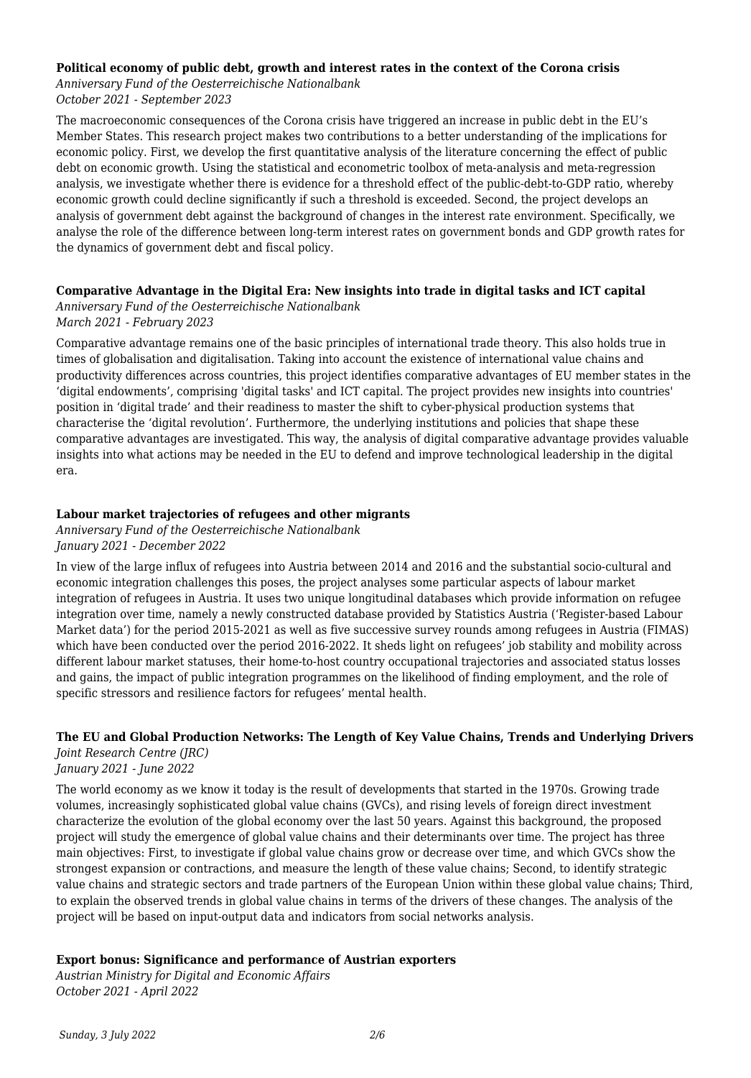#### **Political economy of public debt, growth and interest rates in the context of the Corona crisis**

*Anniversary Fund of the Oesterreichische Nationalbank October 2021 - September 2023*

The macroeconomic consequences of the Corona crisis have triggered an increase in public debt in the EU's Member States. This research project makes two contributions to a better understanding of the implications for economic policy. First, we develop the first quantitative analysis of the literature concerning the effect of public debt on economic growth. Using the statistical and econometric toolbox of meta-analysis and meta-regression analysis, we investigate whether there is evidence for a threshold effect of the public-debt-to-GDP ratio, whereby economic growth could decline significantly if such a threshold is exceeded. Second, the project develops an analysis of government debt against the background of changes in the interest rate environment. Specifically, we analyse the role of the difference between long-term interest rates on government bonds and GDP growth rates for the dynamics of government debt and fiscal policy.

# **Comparative Advantage in the Digital Era: New insights into trade in digital tasks and ICT capital**

*Anniversary Fund of the Oesterreichische Nationalbank*

*March 2021 - February 2023*

Comparative advantage remains one of the basic principles of international trade theory. This also holds true in times of globalisation and digitalisation. Taking into account the existence of international value chains and productivity differences across countries, this project identifies comparative advantages of EU member states in the 'digital endowments', comprising 'digital tasks' and ICT capital. The project provides new insights into countries' position in 'digital trade' and their readiness to master the shift to cyber-physical production systems that characterise the 'digital revolution'. Furthermore, the underlying institutions and policies that shape these comparative advantages are investigated. This way, the analysis of digital comparative advantage provides valuable insights into what actions may be needed in the EU to defend and improve technological leadership in the digital era.

# **Labour market trajectories of refugees and other migrants**

*Anniversary Fund of the Oesterreichische Nationalbank January 2021 - December 2022*

In view of the large influx of refugees into Austria between 2014 and 2016 and the substantial socio-cultural and economic integration challenges this poses, the project analyses some particular aspects of labour market integration of refugees in Austria. It uses two unique longitudinal databases which provide information on refugee integration over time, namely a newly constructed database provided by Statistics Austria ('Register-based Labour Market data') for the period 2015-2021 as well as five successive survey rounds among refugees in Austria (FIMAS) which have been conducted over the period 2016-2022. It sheds light on refugees' job stability and mobility across different labour market statuses, their home-to-host country occupational trajectories and associated status losses and gains, the impact of public integration programmes on the likelihood of finding employment, and the role of specific stressors and resilience factors for refugees' mental health.

# **The EU and Global Production Networks: The Length of Key Value Chains, Trends and Underlying Drivers**

*Joint Research Centre (JRC) January 2021 - June 2022*

The world economy as we know it today is the result of developments that started in the 1970s. Growing trade volumes, increasingly sophisticated global value chains (GVCs), and rising levels of foreign direct investment characterize the evolution of the global economy over the last 50 years. Against this background, the proposed project will study the emergence of global value chains and their determinants over time. The project has three main objectives: First, to investigate if global value chains grow or decrease over time, and which GVCs show the strongest expansion or contractions, and measure the length of these value chains; Second, to identify strategic value chains and strategic sectors and trade partners of the European Union within these global value chains; Third, to explain the observed trends in global value chains in terms of the drivers of these changes. The analysis of the project will be based on input-output data and indicators from social networks analysis.

# **Export bonus: Significance and performance of Austrian exporters**

*Austrian Ministry for Digital and Economic Affairs October 2021 - April 2022*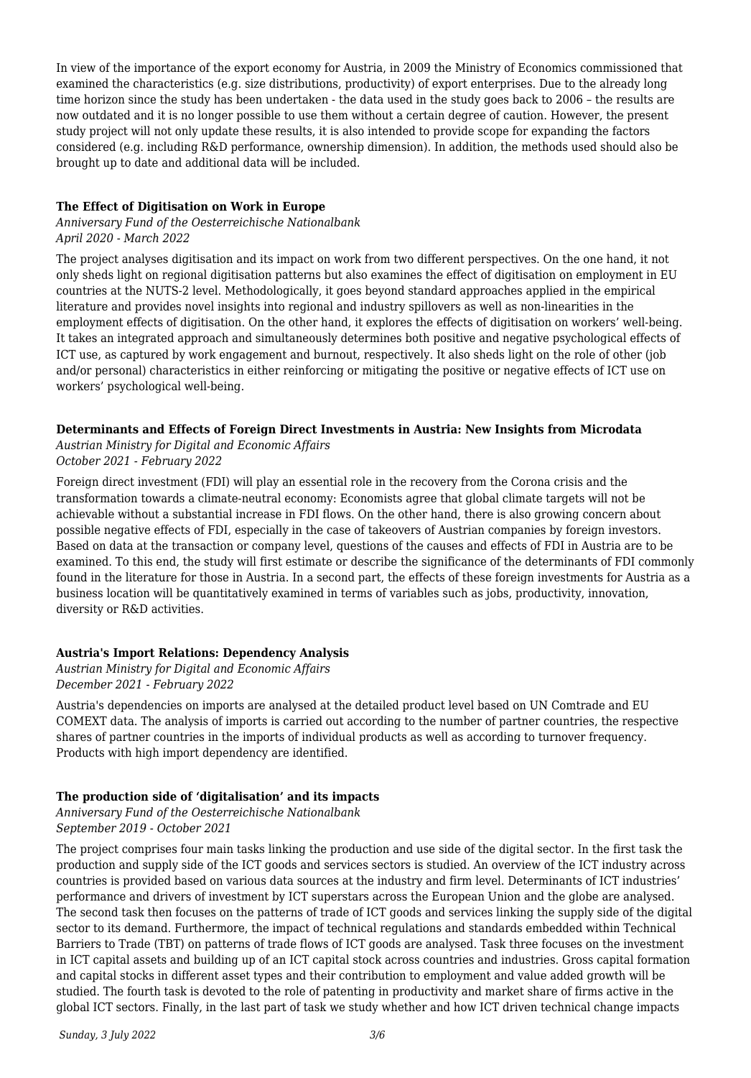In view of the importance of the export economy for Austria, in 2009 the Ministry of Economics commissioned that examined the characteristics (e.g. size distributions, productivity) of export enterprises. Due to the already long time horizon since the study has been undertaken - the data used in the study goes back to 2006 – the results are now outdated and it is no longer possible to use them without a certain degree of caution. However, the present study project will not only update these results, it is also intended to provide scope for expanding the factors considered (e.g. including R&D performance, ownership dimension). In addition, the methods used should also be brought up to date and additional data will be included.

# **The Effect of Digitisation on Work in Europe**

#### *Anniversary Fund of the Oesterreichische Nationalbank April 2020 - March 2022*

The project analyses digitisation and its impact on work from two different perspectives. On the one hand, it not only sheds light on regional digitisation patterns but also examines the effect of digitisation on employment in EU countries at the NUTS-2 level. Methodologically, it goes beyond standard approaches applied in the empirical literature and provides novel insights into regional and industry spillovers as well as non-linearities in the employment effects of digitisation. On the other hand, it explores the effects of digitisation on workers' well-being. It takes an integrated approach and simultaneously determines both positive and negative psychological effects of ICT use, as captured by work engagement and burnout, respectively. It also sheds light on the role of other (job and/or personal) characteristics in either reinforcing or mitigating the positive or negative effects of ICT use on workers' psychological well-being.

# **Determinants and Effects of Foreign Direct Investments in Austria: New Insights from Microdata**

*Austrian Ministry for Digital and Economic Affairs October 2021 - February 2022*

Foreign direct investment (FDI) will play an essential role in the recovery from the Corona crisis and the transformation towards a climate-neutral economy: Economists agree that global climate targets will not be achievable without a substantial increase in FDI flows. On the other hand, there is also growing concern about possible negative effects of FDI, especially in the case of takeovers of Austrian companies by foreign investors. Based on data at the transaction or company level, questions of the causes and effects of FDI in Austria are to be examined. To this end, the study will first estimate or describe the significance of the determinants of FDI commonly found in the literature for those in Austria. In a second part, the effects of these foreign investments for Austria as a business location will be quantitatively examined in terms of variables such as jobs, productivity, innovation, diversity or R&D activities.

# **Austria's Import Relations: Dependency Analysis**

*Austrian Ministry for Digital and Economic Affairs December 2021 - February 2022*

Austria's dependencies on imports are analysed at the detailed product level based on UN Comtrade and EU COMEXT data. The analysis of imports is carried out according to the number of partner countries, the respective shares of partner countries in the imports of individual products as well as according to turnover frequency. Products with high import dependency are identified.

# **The production side of 'digitalisation' and its impacts**

*Anniversary Fund of the Oesterreichische Nationalbank September 2019 - October 2021*

The project comprises four main tasks linking the production and use side of the digital sector. In the first task the production and supply side of the ICT goods and services sectors is studied. An overview of the ICT industry across countries is provided based on various data sources at the industry and firm level. Determinants of ICT industries' performance and drivers of investment by ICT superstars across the European Union and the globe are analysed. The second task then focuses on the patterns of trade of ICT goods and services linking the supply side of the digital sector to its demand. Furthermore, the impact of technical regulations and standards embedded within Technical Barriers to Trade (TBT) on patterns of trade flows of ICT goods are analysed. Task three focuses on the investment in ICT capital assets and building up of an ICT capital stock across countries and industries. Gross capital formation and capital stocks in different asset types and their contribution to employment and value added growth will be studied. The fourth task is devoted to the role of patenting in productivity and market share of firms active in the global ICT sectors. Finally, in the last part of task we study whether and how ICT driven technical change impacts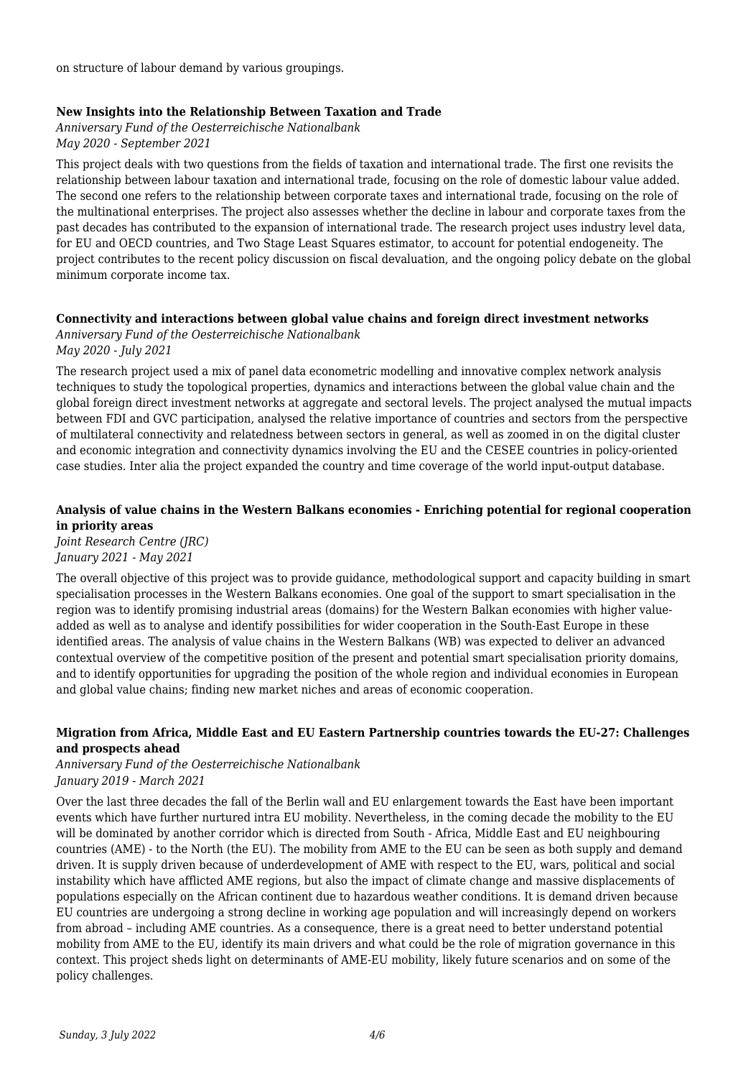on structure of labour demand by various groupings.

#### **New Insights into the Relationship Between Taxation and Trade**

*Anniversary Fund of the Oesterreichische Nationalbank May 2020 - September 2021*

This project deals with two questions from the fields of taxation and international trade. The first one revisits the relationship between labour taxation and international trade, focusing on the role of domestic labour value added. The second one refers to the relationship between corporate taxes and international trade, focusing on the role of the multinational enterprises. The project also assesses whether the decline in labour and corporate taxes from the past decades has contributed to the expansion of international trade. The research project uses industry level data, for EU and OECD countries, and Two Stage Least Squares estimator, to account for potential endogeneity. The project contributes to the recent policy discussion on fiscal devaluation, and the ongoing policy debate on the global minimum corporate income tax.

# **Connectivity and interactions between global value chains and foreign direct investment networks**

*Anniversary Fund of the Oesterreichische Nationalbank May 2020 - July 2021*

The research project used a mix of panel data econometric modelling and innovative complex network analysis techniques to study the topological properties, dynamics and interactions between the global value chain and the global foreign direct investment networks at aggregate and sectoral levels. The project analysed the mutual impacts between FDI and GVC participation, analysed the relative importance of countries and sectors from the perspective of multilateral connectivity and relatedness between sectors in general, as well as zoomed in on the digital cluster and economic integration and connectivity dynamics involving the EU and the CESEE countries in policy-oriented case studies. Inter alia the project expanded the country and time coverage of the world input-output database.

# **Analysis of value chains in the Western Balkans economies - Enriching potential for regional cooperation in priority areas**

*Joint Research Centre (JRC) January 2021 - May 2021*

The overall objective of this project was to provide guidance, methodological support and capacity building in smart specialisation processes in the Western Balkans economies. One goal of the support to smart specialisation in the region was to identify promising industrial areas (domains) for the Western Balkan economies with higher valueadded as well as to analyse and identify possibilities for wider cooperation in the South-East Europe in these identified areas. The analysis of value chains in the Western Balkans (WB) was expected to deliver an advanced contextual overview of the competitive position of the present and potential smart specialisation priority domains, and to identify opportunities for upgrading the position of the whole region and individual economies in European and global value chains; finding new market niches and areas of economic cooperation.

# **Migration from Africa, Middle East and EU Eastern Partnership countries towards the EU-27: Challenges and prospects ahead**

#### *Anniversary Fund of the Oesterreichische Nationalbank January 2019 - March 2021*

Over the last three decades the fall of the Berlin wall and EU enlargement towards the East have been important events which have further nurtured intra EU mobility. Nevertheless, in the coming decade the mobility to the EU will be dominated by another corridor which is directed from South - Africa, Middle East and EU neighbouring countries (AME) - to the North (the EU). The mobility from AME to the EU can be seen as both supply and demand driven. It is supply driven because of underdevelopment of AME with respect to the EU, wars, political and social instability which have afflicted AME regions, but also the impact of climate change and massive displacements of populations especially on the African continent due to hazardous weather conditions. It is demand driven because EU countries are undergoing a strong decline in working age population and will increasingly depend on workers from abroad – including AME countries. As a consequence, there is a great need to better understand potential mobility from AME to the EU, identify its main drivers and what could be the role of migration governance in this context. This project sheds light on determinants of AME-EU mobility, likely future scenarios and on some of the policy challenges.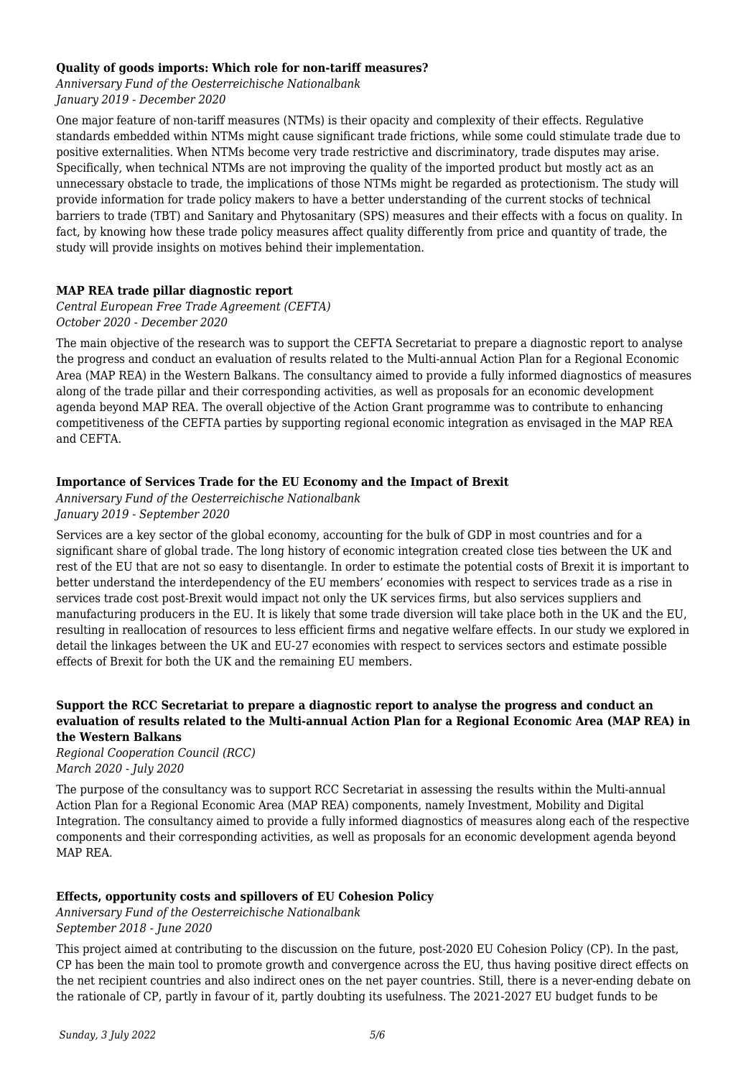### **Quality of goods imports: Which role for non-tariff measures?**

*Anniversary Fund of the Oesterreichische Nationalbank January 2019 - December 2020*

One major feature of non-tariff measures (NTMs) is their opacity and complexity of their effects. Regulative standards embedded within NTMs might cause significant trade frictions, while some could stimulate trade due to positive externalities. When NTMs become very trade restrictive and discriminatory, trade disputes may arise. Specifically, when technical NTMs are not improving the quality of the imported product but mostly act as an unnecessary obstacle to trade, the implications of those NTMs might be regarded as protectionism. The study will provide information for trade policy makers to have a better understanding of the current stocks of technical barriers to trade (TBT) and Sanitary and Phytosanitary (SPS) measures and their effects with a focus on quality. In fact, by knowing how these trade policy measures affect quality differently from price and quantity of trade, the study will provide insights on motives behind their implementation.

#### **MAP REA trade pillar diagnostic report**

*Central European Free Trade Agreement (CEFTA) October 2020 - December 2020*

The main objective of the research was to support the CEFTA Secretariat to prepare a diagnostic report to analyse the progress and conduct an evaluation of results related to the Multi-annual Action Plan for a Regional Economic Area (MAP REA) in the Western Balkans. The consultancy aimed to provide a fully informed diagnostics of measures along of the trade pillar and their corresponding activities, as well as proposals for an economic development agenda beyond MAP REA. The overall objective of the Action Grant programme was to contribute to enhancing competitiveness of the CEFTA parties by supporting regional economic integration as envisaged in the MAP REA and CEFTA.

#### **Importance of Services Trade for the EU Economy and the Impact of Brexit**

*Anniversary Fund of the Oesterreichische Nationalbank January 2019 - September 2020*

Services are a key sector of the global economy, accounting for the bulk of GDP in most countries and for a significant share of global trade. The long history of economic integration created close ties between the UK and rest of the EU that are not so easy to disentangle. In order to estimate the potential costs of Brexit it is important to better understand the interdependency of the EU members' economies with respect to services trade as a rise in services trade cost post-Brexit would impact not only the UK services firms, but also services suppliers and manufacturing producers in the EU. It is likely that some trade diversion will take place both in the UK and the EU, resulting in reallocation of resources to less efficient firms and negative welfare effects. In our study we explored in detail the linkages between the UK and EU-27 economies with respect to services sectors and estimate possible effects of Brexit for both the UK and the remaining EU members.

#### **Support the RCC Secretariat to prepare a diagnostic report to analyse the progress and conduct an evaluation of results related to the Multi-annual Action Plan for a Regional Economic Area (MAP REA) in the Western Balkans**

*Regional Cooperation Council (RCC) March 2020 - July 2020*

The purpose of the consultancy was to support RCC Secretariat in assessing the results within the Multi-annual Action Plan for a Regional Economic Area (MAP REA) components, namely Investment, Mobility and Digital Integration. The consultancy aimed to provide a fully informed diagnostics of measures along each of the respective components and their corresponding activities, as well as proposals for an economic development agenda beyond MAP REA.

# **Effects, opportunity costs and spillovers of EU Cohesion Policy**

*Anniversary Fund of the Oesterreichische Nationalbank September 2018 - June 2020*

This project aimed at contributing to the discussion on the future, post-2020 EU Cohesion Policy (CP). In the past, CP has been the main tool to promote growth and convergence across the EU, thus having positive direct effects on the net recipient countries and also indirect ones on the net payer countries. Still, there is a never-ending debate on the rationale of CP, partly in favour of it, partly doubting its usefulness. The 2021-2027 EU budget funds to be